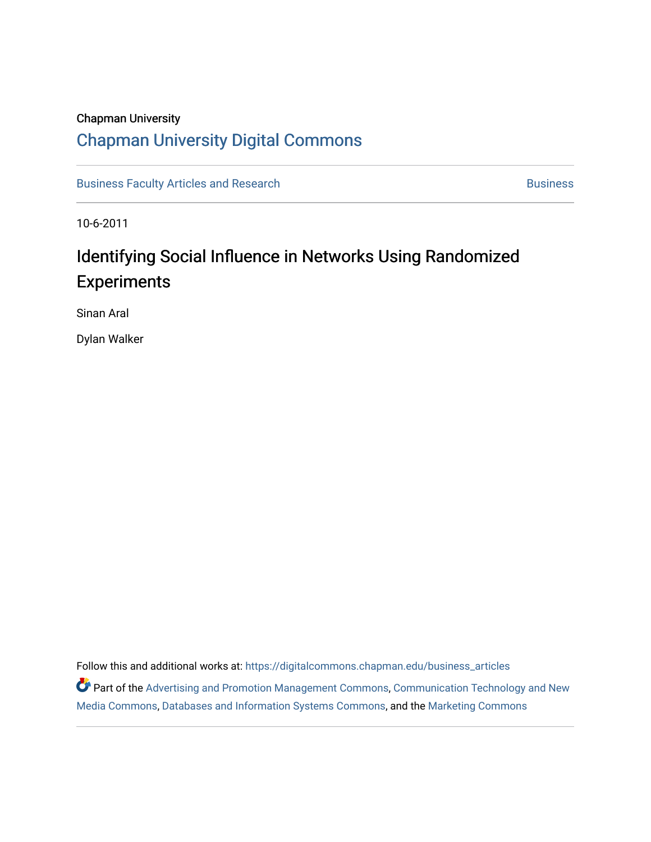# Chapman University [Chapman University Digital Commons](https://digitalcommons.chapman.edu/)

[Business Faculty Articles and Research](https://digitalcommons.chapman.edu/business_articles) [Business](https://digitalcommons.chapman.edu/business) **Business** Business

10-6-2011

# Identifying Social Influence in Networks Using Randomized Experiments

Sinan Aral

Dylan Walker

Follow this and additional works at: [https://digitalcommons.chapman.edu/business\\_articles](https://digitalcommons.chapman.edu/business_articles?utm_source=digitalcommons.chapman.edu%2Fbusiness_articles%2F144&utm_medium=PDF&utm_campaign=PDFCoverPages)  Part of the [Advertising and Promotion Management Commons,](https://network.bepress.com/hgg/discipline/626?utm_source=digitalcommons.chapman.edu%2Fbusiness_articles%2F144&utm_medium=PDF&utm_campaign=PDFCoverPages) [Communication Technology and New](https://network.bepress.com/hgg/discipline/327?utm_source=digitalcommons.chapman.edu%2Fbusiness_articles%2F144&utm_medium=PDF&utm_campaign=PDFCoverPages) 

[Media Commons](https://network.bepress.com/hgg/discipline/327?utm_source=digitalcommons.chapman.edu%2Fbusiness_articles%2F144&utm_medium=PDF&utm_campaign=PDFCoverPages), [Databases and Information Systems Commons,](https://network.bepress.com/hgg/discipline/145?utm_source=digitalcommons.chapman.edu%2Fbusiness_articles%2F144&utm_medium=PDF&utm_campaign=PDFCoverPages) and the [Marketing Commons](https://network.bepress.com/hgg/discipline/638?utm_source=digitalcommons.chapman.edu%2Fbusiness_articles%2F144&utm_medium=PDF&utm_campaign=PDFCoverPages)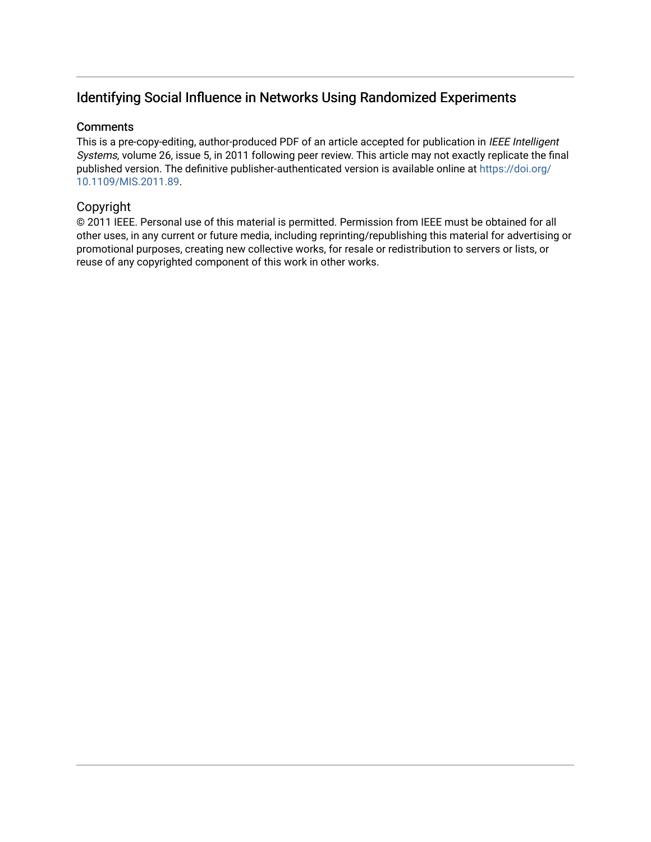# Identifying Social Influence in Networks Using Randomized Experiments

# **Comments**

This is a pre-copy-editing, author-produced PDF of an article accepted for publication in IEEE Intelligent Systems, volume 26, issue 5, in 2011 following peer review. This article may not exactly replicate the final published version. The definitive publisher-authenticated version is available online at [https://doi.org/](https://doi.org/10.1109/MIS.2011.89) [10.1109/MIS.2011.89.](https://doi.org/10.1109/MIS.2011.89)

# Copyright

© 2011 IEEE. Personal use of this material is permitted. Permission from IEEE must be obtained for all other uses, in any current or future media, including reprinting/republishing this material for advertising or promotional purposes, creating new collective works, for resale or redistribution to servers or lists, or reuse of any copyrighted component of this work in other works.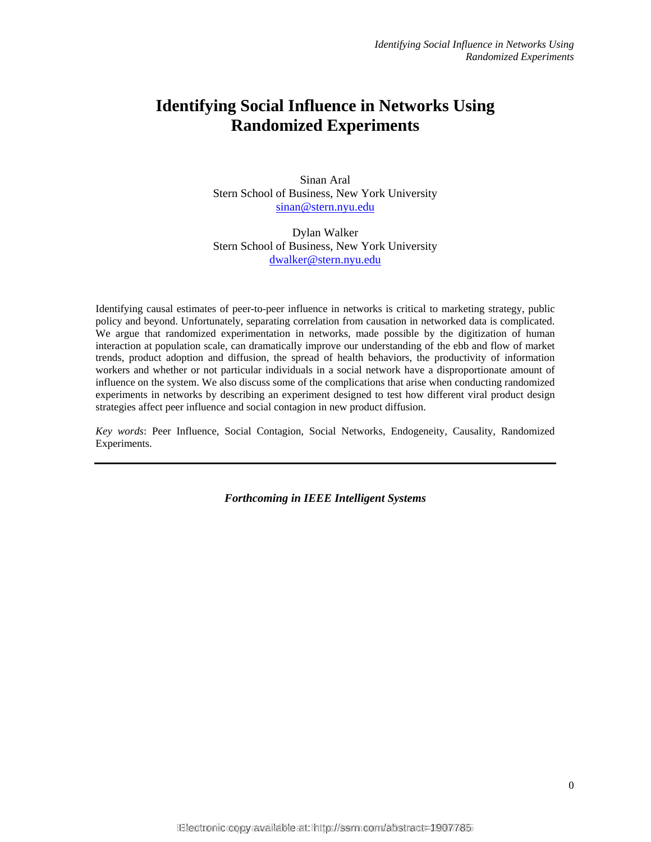# **Identifying Social Influence in Networks Using Randomized Experiments**

Sinan Aral Stern School of Business, New York University sinan@stern.nyu.edu

Dylan Walker Stern School of Business, New York University dwalker@stern.nyu.edu

Identifying causal estimates of peer-to-peer influence in networks is critical to marketing strategy, public policy and beyond. Unfortunately, separating correlation from causation in networked data is complicated. We argue that randomized experimentation in networks, made possible by the digitization of human interaction at population scale, can dramatically improve our understanding of the ebb and flow of market trends, product adoption and diffusion, the spread of health behaviors, the productivity of information workers and whether or not particular individuals in a social network have a disproportionate amount of influence on the system. We also discuss some of the complications that arise when conducting randomized experiments in networks by describing an experiment designed to test how different viral product design strategies affect peer influence and social contagion in new product diffusion.

*Key words*: Peer Influence, Social Contagion, Social Networks, Endogeneity, Causality, Randomized Experiments.

*Forthcoming in IEEE Intelligent Systems*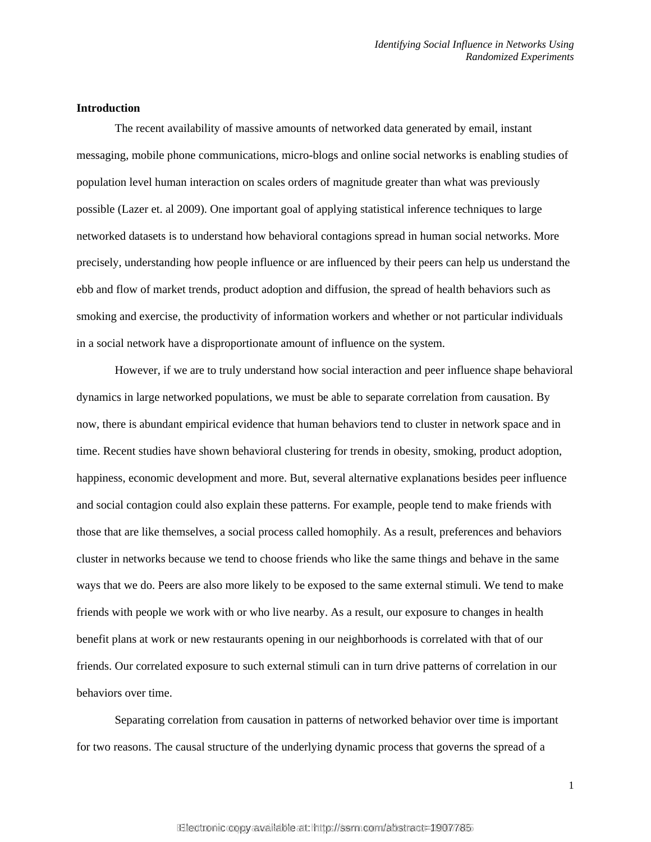# **Introduction**

 The recent availability of massive amounts of networked data generated by email, instant messaging, mobile phone communications, micro-blogs and online social networks is enabling studies of population level human interaction on scales orders of magnitude greater than what was previously possible (Lazer et. al 2009). One important goal of applying statistical inference techniques to large networked datasets is to understand how behavioral contagions spread in human social networks. More precisely, understanding how people influence or are influenced by their peers can help us understand the ebb and flow of market trends, product adoption and diffusion, the spread of health behaviors such as smoking and exercise, the productivity of information workers and whether or not particular individuals in a social network have a disproportionate amount of influence on the system.

However, if we are to truly understand how social interaction and peer influence shape behavioral dynamics in large networked populations, we must be able to separate correlation from causation. By now, there is abundant empirical evidence that human behaviors tend to cluster in network space and in time. Recent studies have shown behavioral clustering for trends in obesity, smoking, product adoption, happiness, economic development and more. But, several alternative explanations besides peer influence and social contagion could also explain these patterns. For example, people tend to make friends with those that are like themselves, a social process called homophily. As a result, preferences and behaviors cluster in networks because we tend to choose friends who like the same things and behave in the same ways that we do. Peers are also more likely to be exposed to the same external stimuli. We tend to make friends with people we work with or who live nearby. As a result, our exposure to changes in health benefit plans at work or new restaurants opening in our neighborhoods is correlated with that of our friends. Our correlated exposure to such external stimuli can in turn drive patterns of correlation in our behaviors over time.

Separating correlation from causation in patterns of networked behavior over time is important for two reasons. The causal structure of the underlying dynamic process that governs the spread of a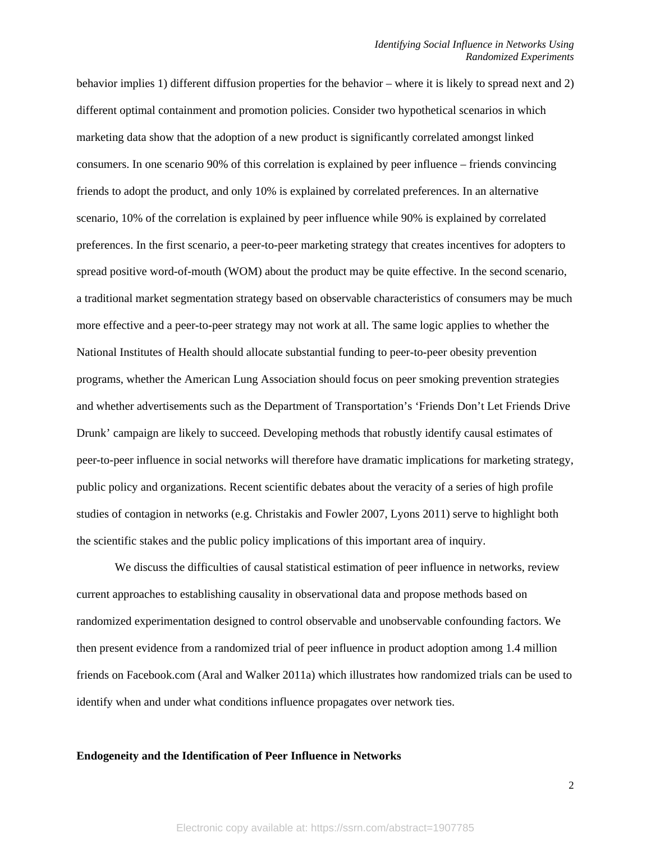behavior implies 1) different diffusion properties for the behavior – where it is likely to spread next and 2) different optimal containment and promotion policies. Consider two hypothetical scenarios in which marketing data show that the adoption of a new product is significantly correlated amongst linked consumers. In one scenario 90% of this correlation is explained by peer influence – friends convincing friends to adopt the product, and only 10% is explained by correlated preferences. In an alternative scenario, 10% of the correlation is explained by peer influence while 90% is explained by correlated preferences. In the first scenario, a peer-to-peer marketing strategy that creates incentives for adopters to spread positive word-of-mouth (WOM) about the product may be quite effective. In the second scenario, a traditional market segmentation strategy based on observable characteristics of consumers may be much more effective and a peer-to-peer strategy may not work at all. The same logic applies to whether the National Institutes of Health should allocate substantial funding to peer-to-peer obesity prevention programs, whether the American Lung Association should focus on peer smoking prevention strategies and whether advertisements such as the Department of Transportation's 'Friends Don't Let Friends Drive Drunk' campaign are likely to succeed. Developing methods that robustly identify causal estimates of peer-to-peer influence in social networks will therefore have dramatic implications for marketing strategy, public policy and organizations. Recent scientific debates about the veracity of a series of high profile studies of contagion in networks (e.g. Christakis and Fowler 2007, Lyons 2011) serve to highlight both the scientific stakes and the public policy implications of this important area of inquiry.

We discuss the difficulties of causal statistical estimation of peer influence in networks, review current approaches to establishing causality in observational data and propose methods based on randomized experimentation designed to control observable and unobservable confounding factors. We then present evidence from a randomized trial of peer influence in product adoption among 1.4 million friends on Facebook.com (Aral and Walker 2011a) which illustrates how randomized trials can be used to identify when and under what conditions influence propagates over network ties.

## **Endogeneity and the Identification of Peer Influence in Networks**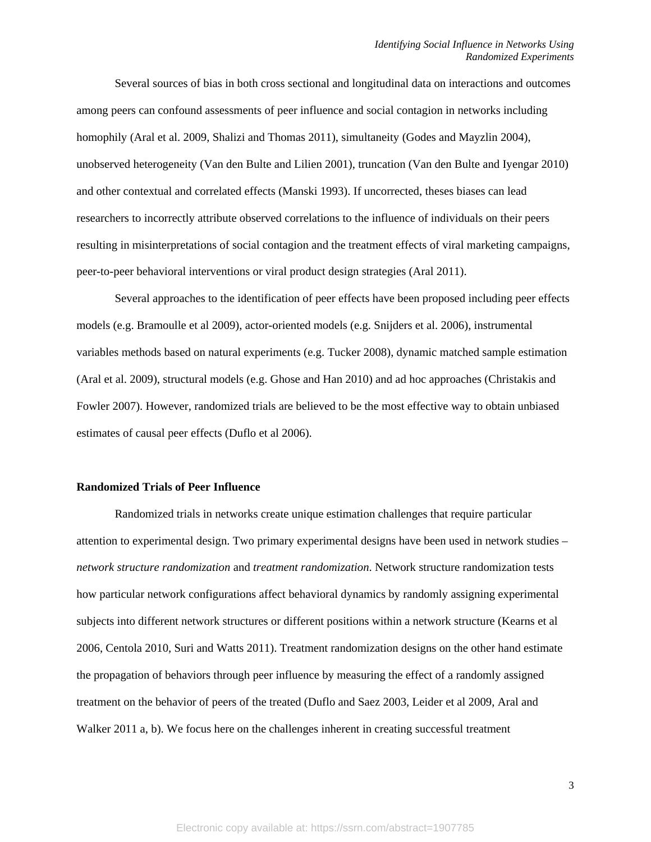Several sources of bias in both cross sectional and longitudinal data on interactions and outcomes among peers can confound assessments of peer influence and social contagion in networks including homophily (Aral et al. 2009, Shalizi and Thomas 2011), simultaneity (Godes and Mayzlin 2004), unobserved heterogeneity (Van den Bulte and Lilien 2001), truncation (Van den Bulte and Iyengar 2010) and other contextual and correlated effects (Manski 1993). If uncorrected, theses biases can lead researchers to incorrectly attribute observed correlations to the influence of individuals on their peers resulting in misinterpretations of social contagion and the treatment effects of viral marketing campaigns, peer-to-peer behavioral interventions or viral product design strategies (Aral 2011).

Several approaches to the identification of peer effects have been proposed including peer effects models (e.g. Bramoulle et al 2009), actor-oriented models (e.g. Snijders et al. 2006), instrumental variables methods based on natural experiments (e.g. Tucker 2008), dynamic matched sample estimation (Aral et al. 2009), structural models (e.g. Ghose and Han 2010) and ad hoc approaches (Christakis and Fowler 2007). However, randomized trials are believed to be the most effective way to obtain unbiased estimates of causal peer effects (Duflo et al 2006).

# **Randomized Trials of Peer Influence**

 Randomized trials in networks create unique estimation challenges that require particular attention to experimental design. Two primary experimental designs have been used in network studies – *network structure randomization* and *treatment randomization*. Network structure randomization tests how particular network configurations affect behavioral dynamics by randomly assigning experimental subjects into different network structures or different positions within a network structure (Kearns et al 2006, Centola 2010, Suri and Watts 2011). Treatment randomization designs on the other hand estimate the propagation of behaviors through peer influence by measuring the effect of a randomly assigned treatment on the behavior of peers of the treated (Duflo and Saez 2003, Leider et al 2009, Aral and Walker 2011 a, b). We focus here on the challenges inherent in creating successful treatment

3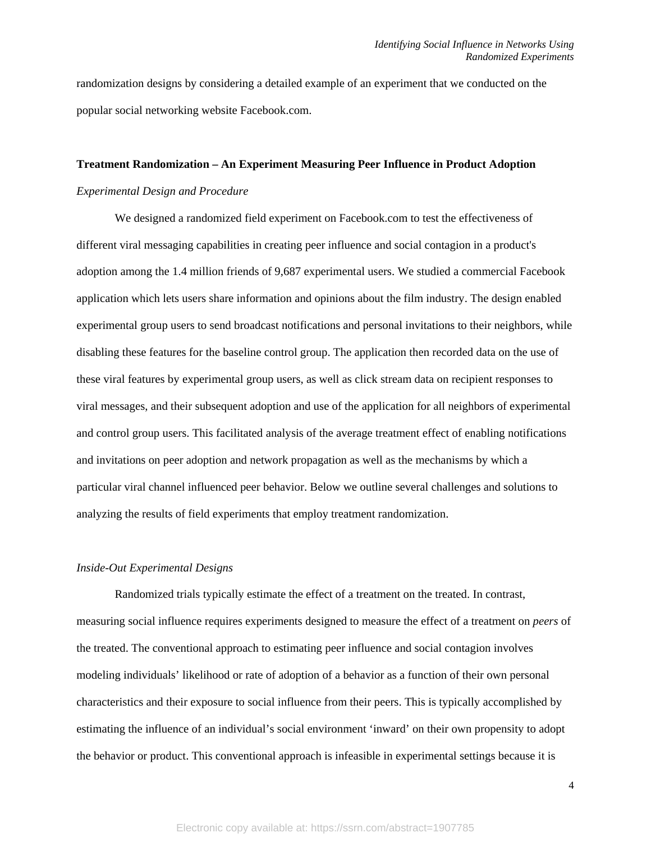randomization designs by considering a detailed example of an experiment that we conducted on the popular social networking website Facebook.com.

# **Treatment Randomization – An Experiment Measuring Peer Influence in Product Adoption**

# *Experimental Design and Procedure*

 We designed a randomized field experiment on Facebook.com to test the effectiveness of different viral messaging capabilities in creating peer influence and social contagion in a product's adoption among the 1.4 million friends of 9,687 experimental users. We studied a commercial Facebook application which lets users share information and opinions about the film industry. The design enabled experimental group users to send broadcast notifications and personal invitations to their neighbors, while disabling these features for the baseline control group. The application then recorded data on the use of these viral features by experimental group users, as well as click stream data on recipient responses to viral messages, and their subsequent adoption and use of the application for all neighbors of experimental and control group users. This facilitated analysis of the average treatment effect of enabling notifications and invitations on peer adoption and network propagation as well as the mechanisms by which a particular viral channel influenced peer behavior. Below we outline several challenges and solutions to analyzing the results of field experiments that employ treatment randomization.

## *Inside-Out Experimental Designs*

Randomized trials typically estimate the effect of a treatment on the treated. In contrast, measuring social influence requires experiments designed to measure the effect of a treatment on *peers* of the treated. The conventional approach to estimating peer influence and social contagion involves modeling individuals' likelihood or rate of adoption of a behavior as a function of their own personal characteristics and their exposure to social influence from their peers. This is typically accomplished by estimating the influence of an individual's social environment 'inward' on their own propensity to adopt the behavior or product. This conventional approach is infeasible in experimental settings because it is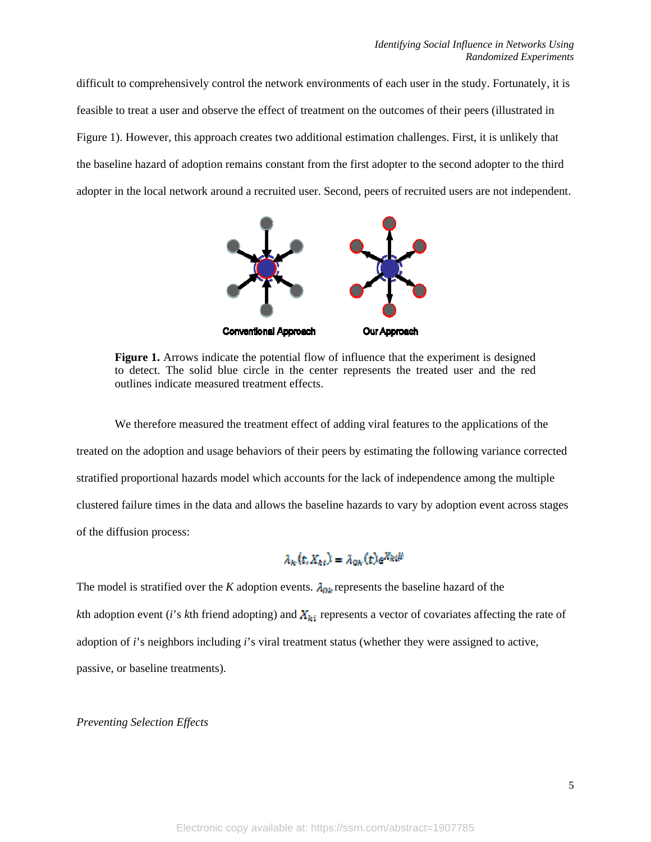difficult to comprehensively control the network environments of each user in the study. Fortunately, it is feasible to treat a user and observe the effect of treatment on the outcomes of their peers (illustrated in Figure 1). However, this approach creates two additional estimation challenges. First, it is unlikely that the baseline hazard of adoption remains constant from the first adopter to the second adopter to the third adopter in the local network around a recruited user. Second, peers of recruited users are not independent.



**Figure 1.** Arrows indicate the potential flow of influence that the experiment is designed to detect. The solid blue circle in the center represents the treated user and the red outlines indicate measured treatment effects.

We therefore measured the treatment effect of adding viral features to the applications of the treated on the adoption and usage behaviors of their peers by estimating the following variance corrected stratified proportional hazards model which accounts for the lack of independence among the multiple clustered failure times in the data and allows the baseline hazards to vary by adoption event across stages of the diffusion process:

# $\lambda_k(t, X_k) = \lambda_{0k}(t)e^{X_k}dt$

The model is stratified over the *K* adoption events.  $\lambda_{0k}$  represents the baseline hazard of the *k*th adoption event (*i*'s *k*th friend adopting) and  $X_{ki}$  represents a vector of covariates affecting the rate of adoption of *i*'s neighbors including *i*'s viral treatment status (whether they were assigned to active, passive, or baseline treatments).

## *Preventing Selection Effects*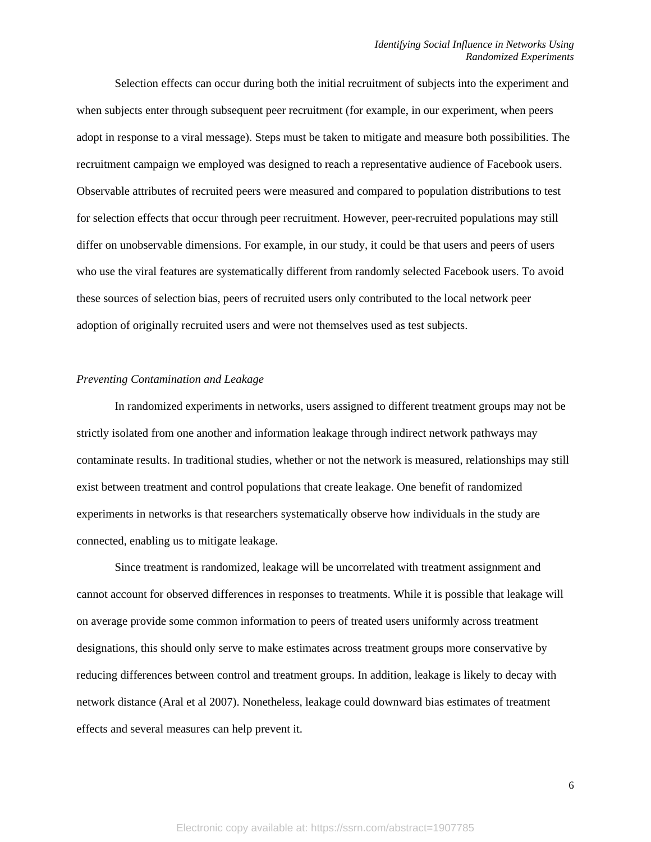Selection effects can occur during both the initial recruitment of subjects into the experiment and when subjects enter through subsequent peer recruitment (for example, in our experiment, when peers adopt in response to a viral message). Steps must be taken to mitigate and measure both possibilities. The recruitment campaign we employed was designed to reach a representative audience of Facebook users. Observable attributes of recruited peers were measured and compared to population distributions to test for selection effects that occur through peer recruitment. However, peer-recruited populations may still differ on unobservable dimensions. For example, in our study, it could be that users and peers of users who use the viral features are systematically different from randomly selected Facebook users. To avoid these sources of selection bias, peers of recruited users only contributed to the local network peer adoption of originally recruited users and were not themselves used as test subjects.

## *Preventing Contamination and Leakage*

In randomized experiments in networks, users assigned to different treatment groups may not be strictly isolated from one another and information leakage through indirect network pathways may contaminate results. In traditional studies, whether or not the network is measured, relationships may still exist between treatment and control populations that create leakage. One benefit of randomized experiments in networks is that researchers systematically observe how individuals in the study are connected, enabling us to mitigate leakage.

Since treatment is randomized, leakage will be uncorrelated with treatment assignment and cannot account for observed differences in responses to treatments. While it is possible that leakage will on average provide some common information to peers of treated users uniformly across treatment designations, this should only serve to make estimates across treatment groups more conservative by reducing differences between control and treatment groups. In addition, leakage is likely to decay with network distance (Aral et al 2007). Nonetheless, leakage could downward bias estimates of treatment effects and several measures can help prevent it.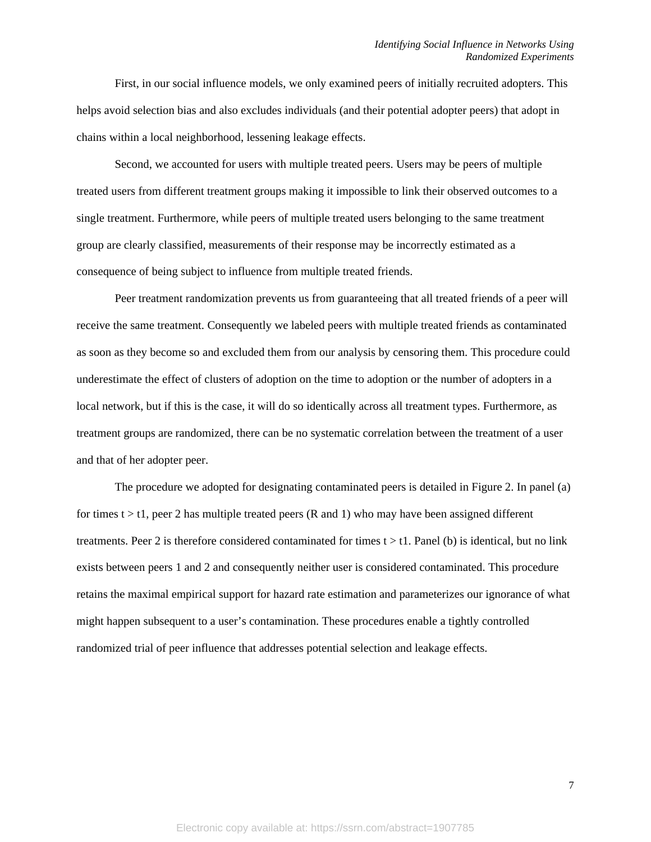First, in our social influence models, we only examined peers of initially recruited adopters. This helps avoid selection bias and also excludes individuals (and their potential adopter peers) that adopt in chains within a local neighborhood, lessening leakage effects.

Second, we accounted for users with multiple treated peers. Users may be peers of multiple treated users from different treatment groups making it impossible to link their observed outcomes to a single treatment. Furthermore, while peers of multiple treated users belonging to the same treatment group are clearly classified, measurements of their response may be incorrectly estimated as a consequence of being subject to influence from multiple treated friends.

 Peer treatment randomization prevents us from guaranteeing that all treated friends of a peer will receive the same treatment. Consequently we labeled peers with multiple treated friends as contaminated as soon as they become so and excluded them from our analysis by censoring them. This procedure could underestimate the effect of clusters of adoption on the time to adoption or the number of adopters in a local network, but if this is the case, it will do so identically across all treatment types. Furthermore, as treatment groups are randomized, there can be no systematic correlation between the treatment of a user and that of her adopter peer.

The procedure we adopted for designating contaminated peers is detailed in Figure 2. In panel (a) for times  $t > t1$ , peer 2 has multiple treated peers (R and 1) who may have been assigned different treatments. Peer 2 is therefore considered contaminated for times  $t > t$ . Panel (b) is identical, but no link exists between peers 1 and 2 and consequently neither user is considered contaminated. This procedure retains the maximal empirical support for hazard rate estimation and parameterizes our ignorance of what might happen subsequent to a user's contamination. These procedures enable a tightly controlled randomized trial of peer influence that addresses potential selection and leakage effects.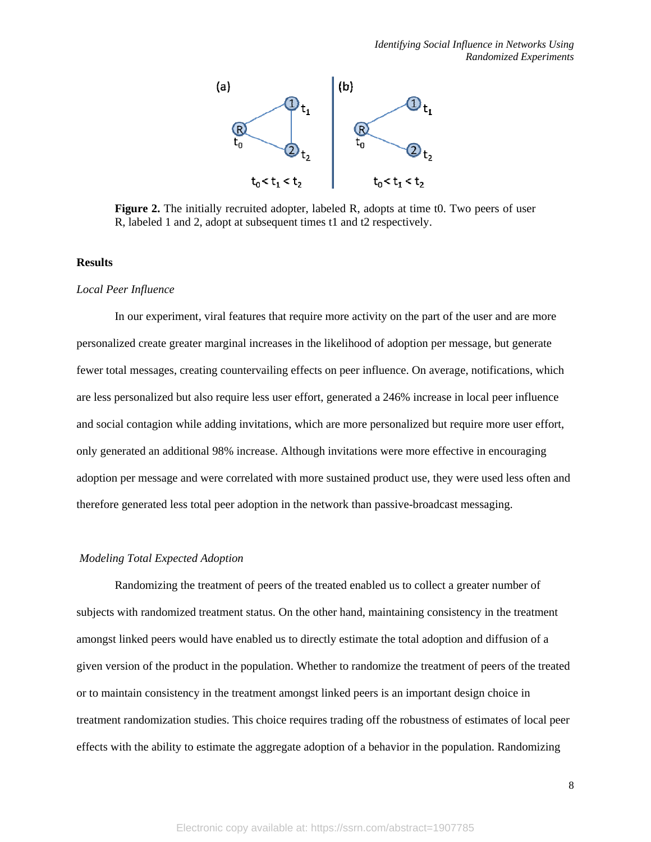

**Figure 2.** The initially recruited adopter, labeled R, adopts at time t0. Two peers of user R, labeled 1 and 2, adopt at subsequent times t1 and t2 respectively.

## **Results**

#### *Local Peer Influence*

In our experiment, viral features that require more activity on the part of the user and are more personalized create greater marginal increases in the likelihood of adoption per message, but generate fewer total messages, creating countervailing effects on peer influence. On average, notifications, which are less personalized but also require less user effort, generated a 246% increase in local peer influence and social contagion while adding invitations, which are more personalized but require more user effort, only generated an additional 98% increase. Although invitations were more effective in encouraging adoption per message and were correlated with more sustained product use, they were used less often and therefore generated less total peer adoption in the network than passive-broadcast messaging.

#### *Modeling Total Expected Adoption*

 Randomizing the treatment of peers of the treated enabled us to collect a greater number of subjects with randomized treatment status. On the other hand, maintaining consistency in the treatment amongst linked peers would have enabled us to directly estimate the total adoption and diffusion of a given version of the product in the population. Whether to randomize the treatment of peers of the treated or to maintain consistency in the treatment amongst linked peers is an important design choice in treatment randomization studies. This choice requires trading off the robustness of estimates of local peer effects with the ability to estimate the aggregate adoption of a behavior in the population. Randomizing

8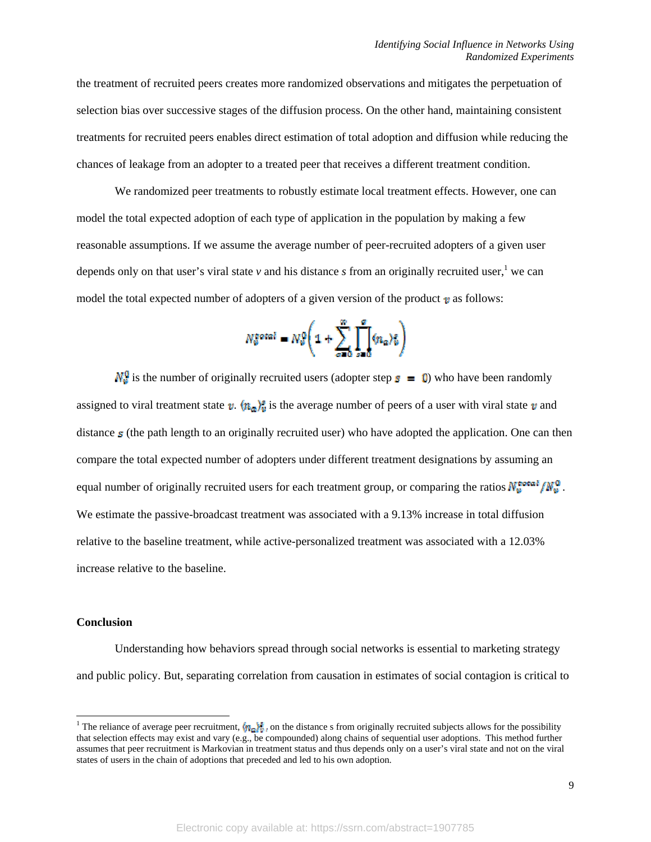the treatment of recruited peers creates more randomized observations and mitigates the perpetuation of selection bias over successive stages of the diffusion process. On the other hand, maintaining consistent treatments for recruited peers enables direct estimation of total adoption and diffusion while reducing the chances of leakage from an adopter to a treated peer that receives a different treatment condition.

 We randomized peer treatments to robustly estimate local treatment effects. However, one can model the total expected adoption of each type of application in the population by making a few reasonable assumptions. If we assume the average number of peer-recruited adopters of a given user depends only on that user's viral state  $\nu$  and his distance  $s$  from an originally recruited user,<sup>1</sup> we can model the total expected number of adopters of a given version of the product  $\boldsymbol{v}$  as follows:

$$
N_{\theta}^{\text{total}} = N_{\theta}^{\theta} \Bigg( 1 + \sum_{\alpha=0}^{m} \prod_{\alpha=0}^{\theta} \langle n_{\alpha} \rangle_{\theta}^{\epsilon} \Bigg)
$$

 $\mathbf{N}_e^0$  is the number of originally recruited users (adopter step  $\mathbf{s} = 0$ ) who have been randomly assigned to viral treatment state  $v \cdot (n_a)$  is the average number of peers of a user with viral state v and distance  $s$  (the path length to an originally recruited user) who have adopted the application. One can then compare the total expected number of adopters under different treatment designations by assuming an equal number of originally recruited users for each treatment group, or comparing the ratios  $N_u^{\text{total}}/N_u^0$ . We estimate the passive-broadcast treatment was associated with a 9.13% increase in total diffusion relative to the baseline treatment, while active-personalized treatment was associated with a 12.03% increase relative to the baseline.

## **Conclusion**

 $\overline{\phantom{a}}$ 

 Understanding how behaviors spread through social networks is essential to marketing strategy and public policy. But, separating correlation from causation in estimates of social contagion is critical to

<sup>&</sup>lt;sup>1</sup> The reliance of average peer recruitment,  $\langle \hat{\mathbf{w}}_i \rangle$  on the distance s from originally recruited subjects allows for the possibility that selection effects may exist and vary (e.g., be compounded) along chains of sequential user adoptions. This method further assumes that peer recruitment is Markovian in treatment status and thus depends only on a user's viral state and not on the viral states of users in the chain of adoptions that preceded and led to his own adoption.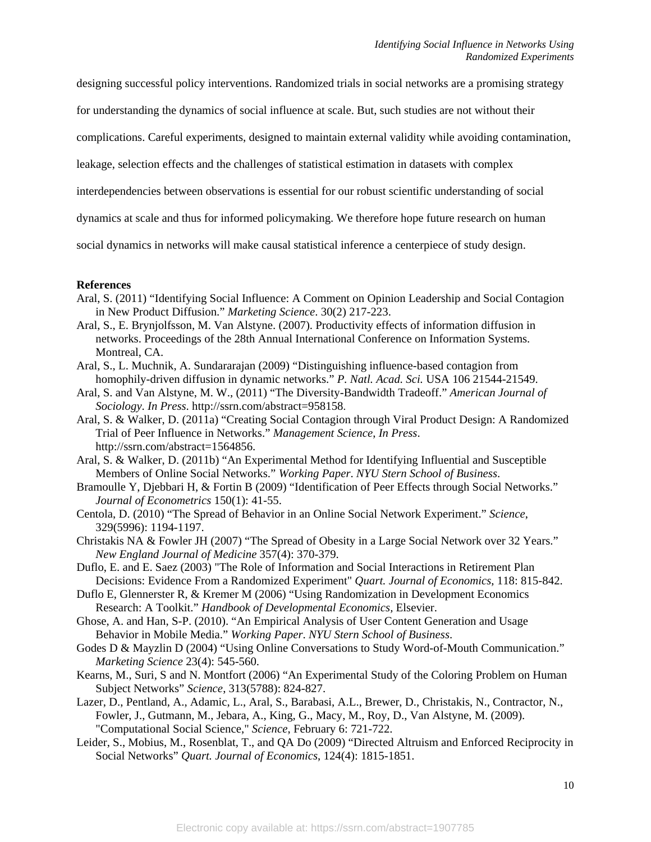designing successful policy interventions. Randomized trials in social networks are a promising strategy

for understanding the dynamics of social influence at scale. But, such studies are not without their

complications. Careful experiments, designed to maintain external validity while avoiding contamination,

leakage, selection effects and the challenges of statistical estimation in datasets with complex

interdependencies between observations is essential for our robust scientific understanding of social

dynamics at scale and thus for informed policymaking. We therefore hope future research on human

social dynamics in networks will make causal statistical inference a centerpiece of study design.

## **References**

- Aral, S. (2011) "Identifying Social Influence: A Comment on Opinion Leadership and Social Contagion in New Product Diffusion." *Marketing Science*. 30(2) 217-223.
- Aral, S., E. Brynjolfsson, M. Van Alstyne. (2007). Productivity effects of information diffusion in networks. Proceedings of the 28th Annual International Conference on Information Systems. Montreal, CA.
- Aral, S., L. Muchnik, A. Sundararajan (2009) "Distinguishing influence-based contagion from homophily-driven diffusion in dynamic networks." *P. Natl. Acad. Sci.* USA 106 21544-21549.
- Aral, S. and Van Alstyne, M. W., (2011) "The Diversity-Bandwidth Tradeoff." *American Journal of Sociology*. *In Press*. http://ssrn.com/abstract=958158.
- Aral, S. & Walker, D. (2011a) "Creating Social Contagion through Viral Product Design: A Randomized Trial of Peer Influence in Networks." *Management Science*, *In Press*. http://ssrn.com/abstract=1564856.
- Aral, S. & Walker, D. (2011b) "An Experimental Method for Identifying Influential and Susceptible Members of Online Social Networks." *Working Paper*. *NYU Stern School of Business*.
- Bramoulle Y, Djebbari H, & Fortin B (2009) "Identification of Peer Effects through Social Networks." *Journal of Econometrics* 150(1): 41-55.
- Centola, D. (2010) "The Spread of Behavior in an Online Social Network Experiment." *Science*, 329(5996): 1194-1197.
- Christakis NA & Fowler JH (2007) "The Spread of Obesity in a Large Social Network over 32 Years." *New England Journal of Medicine* 357(4): 370-379.
- Duflo, E. and E. Saez (2003) "The Role of Information and Social Interactions in Retirement Plan Decisions: Evidence From a Randomized Experiment" *Quart. Journal of Economics*, 118: 815-842.
- Duflo E, Glennerster R, & Kremer M (2006) "Using Randomization in Development Economics Research: A Toolkit." *Handbook of Developmental Economics,* Elsevier.
- Ghose, A. and Han, S-P. (2010). "An Empirical Analysis of User Content Generation and Usage Behavior in Mobile Media." *Working Paper*. *NYU Stern School of Business*.
- Godes D & Mayzlin D (2004) "Using Online Conversations to Study Word-of-Mouth Communication." *Marketing Science* 23(4): 545-560.
- Kearns, M., Suri, S and N. Montfort (2006) "An Experimental Study of the Coloring Problem on Human Subject Networks" *Science*, 313(5788): 824-827.
- Lazer, D., Pentland, A., Adamic, L., Aral, S., Barabasi, A.L., Brewer, D., Christakis, N., Contractor, N., Fowler, J., Gutmann, M., Jebara, A., King, G., Macy, M., Roy, D., Van Alstyne, M. (2009). "Computational Social Science," *Science*, February 6: 721-722.
- Leider, S., Mobius, M., Rosenblat, T., and QA Do (2009) "Directed Altruism and Enforced Reciprocity in Social Networks" *Quart. Journal of Economics*, 124(4): 1815-1851.